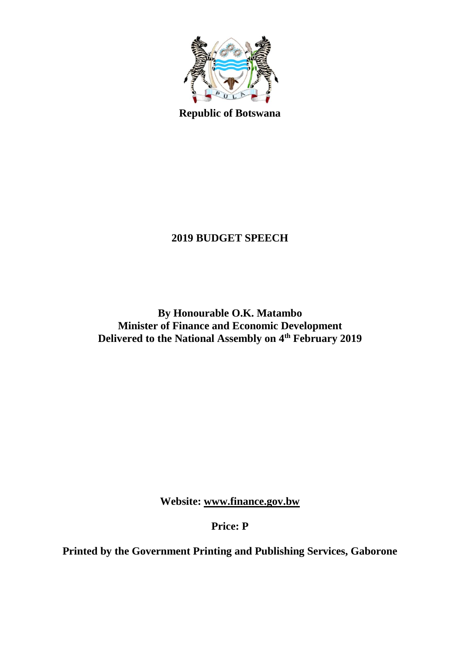

**Republic of Botswana**

# **2019 BUDGET SPEECH**

**By Honourable O.K. Matambo Minister of Finance and Economic Development Delivered to the National Assembly on 4 th February 2019**

**Website: [www.finance.gov.bw](http://www.finance.gov.bw/)**

**Price: P**

**Printed by the Government Printing and Publishing Services, Gaborone**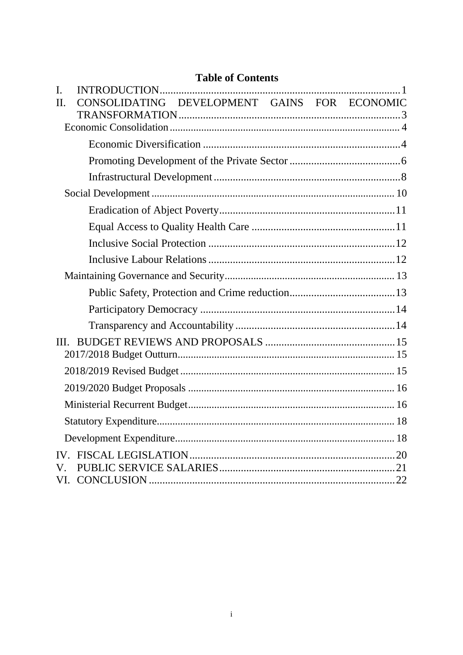## **Table of Contents**

| I.          |                                              |  |
|-------------|----------------------------------------------|--|
| $\Pi$ .     | CONSOLIDATING DEVELOPMENT GAINS FOR ECONOMIC |  |
|             |                                              |  |
|             |                                              |  |
|             |                                              |  |
|             |                                              |  |
|             |                                              |  |
|             |                                              |  |
|             |                                              |  |
|             |                                              |  |
|             |                                              |  |
|             |                                              |  |
|             |                                              |  |
|             |                                              |  |
|             |                                              |  |
|             |                                              |  |
| III.        |                                              |  |
|             |                                              |  |
|             |                                              |  |
|             |                                              |  |
|             |                                              |  |
|             |                                              |  |
|             |                                              |  |
|             |                                              |  |
| $V_{\cdot}$ |                                              |  |
|             |                                              |  |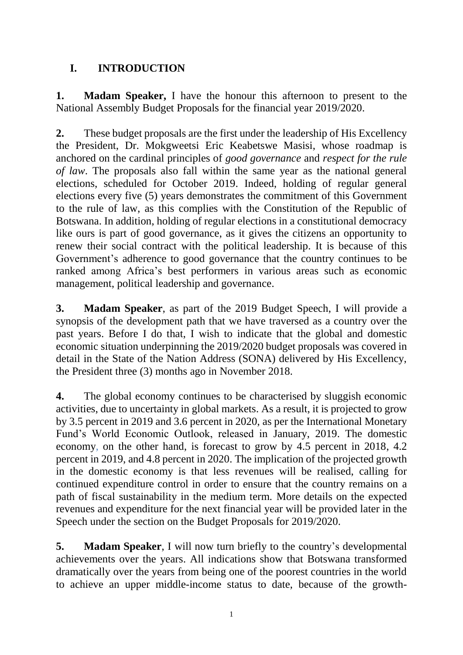## <span id="page-2-0"></span>**I. INTRODUCTION**

**1. Madam Speaker,** I have the honour this afternoon to present to the National Assembly Budget Proposals for the financial year 2019/2020.

**2.** These budget proposals are the first under the leadership of His Excellency the President, Dr. Mokgweetsi Eric Keabetswe Masisi, whose roadmap is anchored on the cardinal principles of *good governance* and *respect for the rule of law*. The proposals also fall within the same year as the national general elections, scheduled for October 2019. Indeed, holding of regular general elections every five (5) years demonstrates the commitment of this Government to the rule of law, as this complies with the Constitution of the Republic of Botswana. In addition, holding of regular elections in a constitutional democracy like ours is part of good governance, as it gives the citizens an opportunity to renew their social contract with the political leadership. It is because of this Government's adherence to good governance that the country continues to be ranked among Africa's best performers in various areas such as economic management, political leadership and governance.

**3. Madam Speaker**, as part of the 2019 Budget Speech, I will provide a synopsis of the development path that we have traversed as a country over the past years. Before I do that, I wish to indicate that the global and domestic economic situation underpinning the 2019/2020 budget proposals was covered in detail in the State of the Nation Address (SONA) delivered by His Excellency, the President three (3) months ago in November 2018.

**4.** The global economy continues to be characterised by sluggish economic activities, due to uncertainty in global markets. As a result, it is projected to grow by 3.5 percent in 2019 and 3.6 percent in 2020, as per the International Monetary Fund's World Economic Outlook, released in January, 2019. The domestic economy, on the other hand, is forecast to grow by 4.5 percent in 2018, 4.2 percent in 2019, and 4.8 percent in 2020. The implication of the projected growth in the domestic economy is that less revenues will be realised, calling for continued expenditure control in order to ensure that the country remains on a path of fiscal sustainability in the medium term. More details on the expected revenues and expenditure for the next financial year will be provided later in the Speech under the section on the Budget Proposals for 2019/2020.

**5. Madam Speaker**, I will now turn briefly to the country's developmental achievements over the years. All indications show that Botswana transformed dramatically over the years from being one of the poorest countries in the world to achieve an upper middle-income status to date, because of the growth-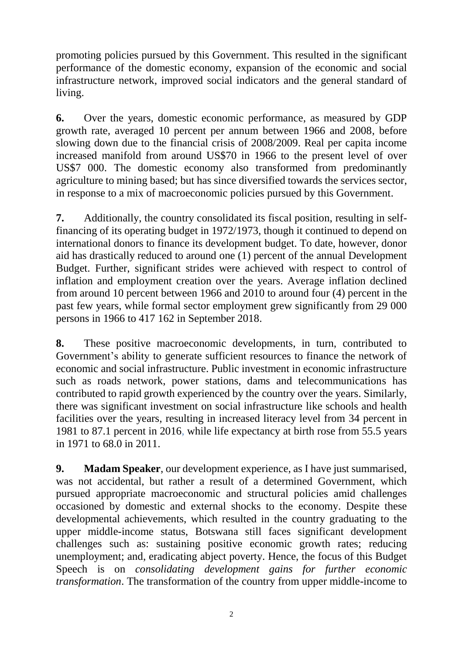promoting policies pursued by this Government. This resulted in the significant performance of the domestic economy, expansion of the economic and social infrastructure network, improved social indicators and the general standard of living.

**6.** Over the years, domestic economic performance, as measured by GDP growth rate, averaged 10 percent per annum between 1966 and 2008, before slowing down due to the financial crisis of 2008/2009. Real per capita income increased manifold from around US\$70 in 1966 to the present level of over US\$7 000. The domestic economy also transformed from predominantly agriculture to mining based; but has since diversified towards the services sector, in response to a mix of macroeconomic policies pursued by this Government.

**7.** Additionally, the country consolidated its fiscal position, resulting in selffinancing of its operating budget in 1972/1973, though it continued to depend on international donors to finance its development budget. To date, however, donor aid has drastically reduced to around one (1) percent of the annual Development Budget. Further, significant strides were achieved with respect to control of inflation and employment creation over the years. Average inflation declined from around 10 percent between 1966 and 2010 to around four (4) percent in the past few years, while formal sector employment grew significantly from 29 000 persons in 1966 to 417 162 in September 2018.

**8.** These positive macroeconomic developments, in turn, contributed to Government's ability to generate sufficient resources to finance the network of economic and social infrastructure. Public investment in economic infrastructure such as roads network, power stations, dams and telecommunications has contributed to rapid growth experienced by the country over the years. Similarly, there was significant investment on social infrastructure like schools and health facilities over the years, resulting in increased literacy level from 34 percent in 1981 to 87.1 percent in 2016, while life expectancy at birth rose from 55.5 years in 1971 to 68.0 in 2011.

**9. Madam Speaker**, our development experience, as I have just summarised, was not accidental, but rather a result of a determined Government, which pursued appropriate macroeconomic and structural policies amid challenges occasioned by domestic and external shocks to the economy. Despite these developmental achievements, which resulted in the country graduating to the upper middle-income status, Botswana still faces significant development challenges such as: sustaining positive economic growth rates; reducing unemployment; and, eradicating abject poverty. Hence, the focus of this Budget Speech is on *consolidating development gains for further economic transformation*. The transformation of the country from upper middle-income to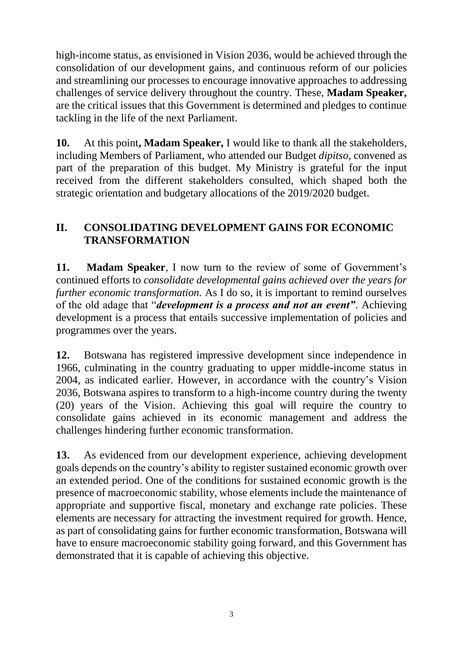high-income status, as envisioned in Vision 2036, would be achieved through the consolidation of our development gains, and continuous reform of our policies and streamlining our processes to encourage innovative approaches to addressing challenges of service delivery throughout the country. These, **Madam Speaker,** are the critical issues that this Government is determined and pledges to continue tackling in the life of the next Parliament.

**10.** At this point**, Madam Speaker,** I would like to thank all the stakeholders, including Members of Parliament, who attended our Budget *dipitso,* convened as part of the preparation of this budget. My Ministry is grateful for the input received from the different stakeholders consulted, which shaped both the strategic orientation and budgetary allocations of the 2019/2020 budget.

## <span id="page-4-0"></span>**II. CONSOLIDATING DEVELOPMENT GAINS FOR ECONOMIC TRANSFORMATION**

**11. Madam Speaker**, I now turn to the review of some of Government's continued efforts to *consolidate developmental gains achieved over the years for further economic transformation.* As I do so, it is important to remind ourselves of the old adage that "*development is a process and not an event"*. Achieving development is a process that entails successive implementation of policies and programmes over the years.

**12.** Botswana has registered impressive development since independence in 1966, culminating in the country graduating to upper middle-income status in 2004, as indicated earlier. However, in accordance with the country's Vision 2036, Botswana aspires to transform to a high-income country during the twenty (20) years of the Vision. Achieving this goal will require the country to consolidate gains achieved in its economic management and address the challenges hindering further economic transformation.

**13.** As evidenced from our development experience, achieving development goals depends on the country's ability to register sustained economic growth over an extended period. One of the conditions for sustained economic growth is the presence of macroeconomic stability, whose elements include the maintenance of appropriate and supportive fiscal, monetary and exchange rate policies. These elements are necessary for attracting the investment required for growth. Hence, as part of consolidating gains for further economic transformation, Botswana will have to ensure macroeconomic stability going forward, and this Government has demonstrated that it is capable of achieving this objective.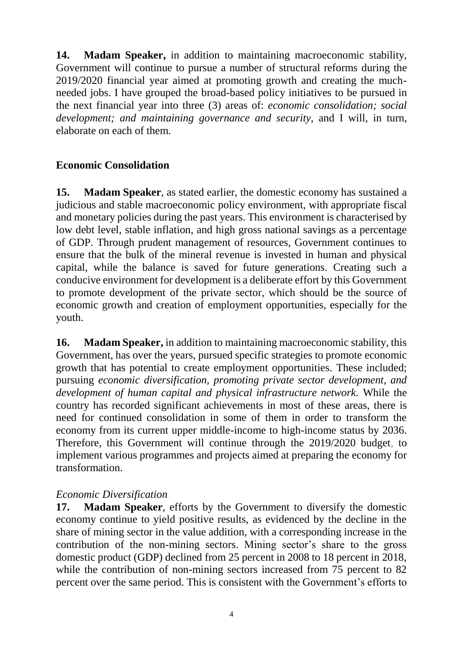**14. Madam Speaker,** in addition to maintaining macroeconomic stability, Government will continue to pursue a number of structural reforms during the 2019/2020 financial year aimed at promoting growth and creating the muchneeded jobs. I have grouped the broad-based policy initiatives to be pursued in the next financial year into three (3) areas of: *economic consolidation; social development; and maintaining governance and security*, and I will, in turn, elaborate on each of them.

# <span id="page-5-0"></span>**Economic Consolidation**

**15. Madam Speaker**, as stated earlier, the domestic economy has sustained a judicious and stable macroeconomic policy environment, with appropriate fiscal and monetary policies during the past years. This environment is characterised by low debt level, stable inflation, and high gross national savings as a percentage of GDP. Through prudent management of resources, Government continues to ensure that the bulk of the mineral revenue is invested in human and physical capital, while the balance is saved for future generations. Creating such a conducive environment for development is a deliberate effort by this Government to promote development of the private sector, which should be the source of economic growth and creation of employment opportunities, especially for the youth.

**16. Madam Speaker,** in addition to maintaining macroeconomic stability, this Government, has over the years, pursued specific strategies to promote economic growth that has potential to create employment opportunities*.* These included; pursuing *economic diversification, promoting private sector development, and development of human capital and physical infrastructure network.* While the country has recorded significant achievements in most of these areas, there is need for continued consolidation in some of them in order to transform the economy from its current upper middle-income to high-income status by 2036. Therefore, this Government will continue through the 2019/2020 budget, to implement various programmes and projects aimed at preparing the economy for transformation.

## <span id="page-5-1"></span>*Economic Diversification*

**17. Madam Speaker**, efforts by the Government to diversify the domestic economy continue to yield positive results, as evidenced by the decline in the share of mining sector in the value addition, with a corresponding increase in the contribution of the non-mining sectors. Mining sector's share to the gross domestic product (GDP) declined from 25 percent in 2008 to 18 percent in 2018, while the contribution of non-mining sectors increased from 75 percent to 82 percent over the same period. This is consistent with the Government's efforts to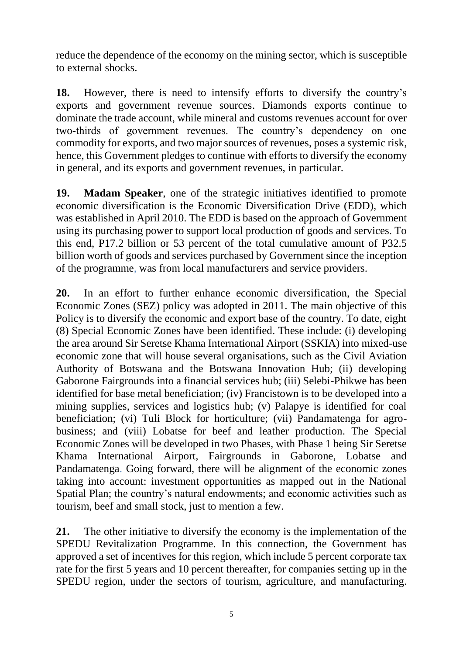reduce the dependence of the economy on the mining sector, which is susceptible to external shocks.

**18.** However, there is need to intensify efforts to diversify the country's exports and government revenue sources. Diamonds exports continue to dominate the trade account, while mineral and customs revenues account for over two-thirds of government revenues. The country's dependency on one commodity for exports, and two major sources of revenues, poses a systemic risk, hence, this Government pledges to continue with efforts to diversify the economy in general, and its exports and government revenues, in particular.

**19. Madam Speaker**, one of the strategic initiatives identified to promote economic diversification is the Economic Diversification Drive (EDD), which was established in April 2010. The EDD is based on the approach of Government using its purchasing power to support local production of goods and services. To this end, P17.2 billion or 53 percent of the total cumulative amount of P32.5 billion worth of goods and services purchased by Government since the inception of the programme, was from local manufacturers and service providers.

**20.** In an effort to further enhance economic diversification, the Special Economic Zones (SEZ) policy was adopted in 2011. The main objective of this Policy is to diversify the economic and export base of the country. To date, eight (8) Special Economic Zones have been identified. These include: (i) developing the area around Sir Seretse Khama International Airport (SSKIA) into mixed-use economic zone that will house several organisations, such as the Civil Aviation Authority of Botswana and the Botswana Innovation Hub; (ii) developing Gaborone Fairgrounds into a financial services hub; (iii) Selebi-Phikwe has been identified for base metal beneficiation; (iv) Francistown is to be developed into a mining supplies, services and logistics hub; (v) Palapye is identified for coal beneficiation; (vi) Tuli Block for horticulture; (vii) Pandamatenga for agrobusiness; and (viii) Lobatse for beef and leather production. The Special Economic Zones will be developed in two Phases, with Phase 1 being Sir Seretse Khama International Airport, Fairgrounds in Gaborone, Lobatse and Pandamatenga. Going forward, there will be alignment of the economic zones taking into account: investment opportunities as mapped out in the National Spatial Plan; the country's natural endowments; and economic activities such as tourism, beef and small stock, just to mention a few.

**21.** The other initiative to diversify the economy is the implementation of the SPEDU Revitalization Programme. In this connection, the Government has approved a set of incentives for this region, which include 5 percent corporate tax rate for the first 5 years and 10 percent thereafter, for companies setting up in the SPEDU region, under the sectors of tourism, agriculture, and manufacturing.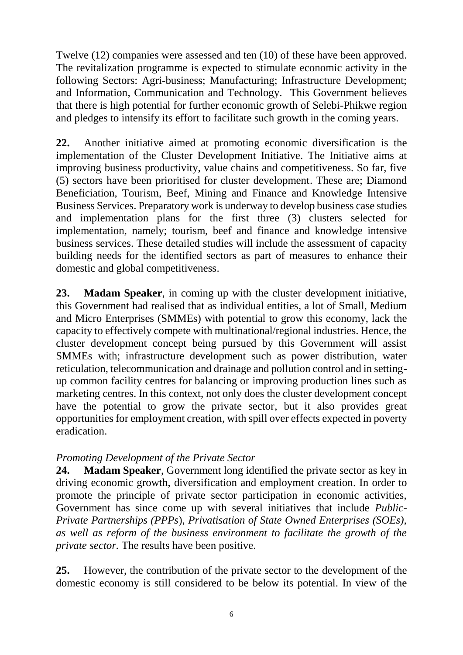Twelve (12) companies were assessed and ten (10) of these have been approved. The revitalization programme is expected to stimulate economic activity in the following Sectors: Agri-business; Manufacturing; Infrastructure Development; and Information, Communication and Technology. This Government believes that there is high potential for further economic growth of Selebi-Phikwe region and pledges to intensify its effort to facilitate such growth in the coming years.

**22.** Another initiative aimed at promoting economic diversification is the implementation of the Cluster Development Initiative. The Initiative aims at improving business productivity, value chains and competitiveness. So far, five (5) sectors have been prioritised for cluster development. These are; Diamond Beneficiation, Tourism, Beef, Mining and Finance and Knowledge Intensive Business Services. Preparatory work is underway to develop business case studies and implementation plans for the first three (3) clusters selected for implementation, namely; tourism, beef and finance and knowledge intensive business services. These detailed studies will include the assessment of capacity building needs for the identified sectors as part of measures to enhance their domestic and global competitiveness.

**23. Madam Speaker**, in coming up with the cluster development initiative, this Government had realised that as individual entities, a lot of Small, Medium and Micro Enterprises (SMMEs) with potential to grow this economy, lack the capacity to effectively compete with multinational/regional industries. Hence, the cluster development concept being pursued by this Government will assist SMMEs with; infrastructure development such as power distribution, water reticulation, telecommunication and drainage and pollution control and in settingup common facility centres for balancing or improving production lines such as marketing centres. In this context, not only does the cluster development concept have the potential to grow the private sector, but it also provides great opportunities for employment creation, with spill over effects expected in poverty eradication.

## <span id="page-7-0"></span>*Promoting Development of the Private Sector*

**24. Madam Speaker**, Government long identified the private sector as key in driving economic growth, diversification and employment creation. In order to promote the principle of private sector participation in economic activities, Government has since come up with several initiatives that include *Public-Private Partnerships (PPPs*), *Privatisation of State Owned Enterprises (SOEs), as well as reform of the business environment to facilitate the growth of the private sector.* The results have been positive.

**25.** However, the contribution of the private sector to the development of the domestic economy is still considered to be below its potential. In view of the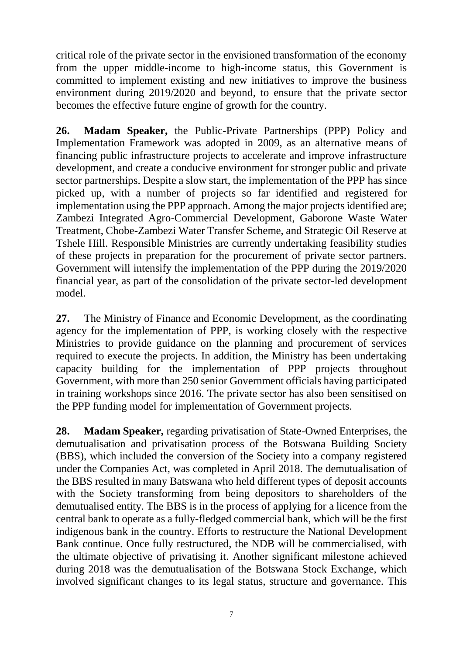critical role of the private sector in the envisioned transformation of the economy from the upper middle-income to high-income status, this Government is committed to implement existing and new initiatives to improve the business environment during 2019/2020 and beyond, to ensure that the private sector becomes the effective future engine of growth for the country.

**26. Madam Speaker,** the Public-Private Partnerships (PPP) Policy and Implementation Framework was adopted in 2009, as an alternative means of financing public infrastructure projects to accelerate and improve infrastructure development, and create a conducive environment for stronger public and private sector partnerships. Despite a slow start, the implementation of the PPP has since picked up, with a number of projects so far identified and registered for implementation using the PPP approach. Among the major projects identified are; Zambezi Integrated Agro-Commercial Development, Gaborone Waste Water Treatment, Chobe-Zambezi Water Transfer Scheme, and Strategic Oil Reserve at Tshele Hill. Responsible Ministries are currently undertaking feasibility studies of these projects in preparation for the procurement of private sector partners. Government will intensify the implementation of the PPP during the 2019/2020 financial year, as part of the consolidation of the private sector-led development model.

**27.** The Ministry of Finance and Economic Development, as the coordinating agency for the implementation of PPP, is working closely with the respective Ministries to provide guidance on the planning and procurement of services required to execute the projects. In addition, the Ministry has been undertaking capacity building for the implementation of PPP projects throughout Government, with more than 250 senior Government officials having participated in training workshops since 2016. The private sector has also been sensitised on the PPP funding model for implementation of Government projects.

**28. Madam Speaker,** regarding privatisation of State-Owned Enterprises, the demutualisation and privatisation process of the Botswana Building Society (BBS), which included the conversion of the Society into a company registered under the Companies Act, was completed in April 2018. The demutualisation of the BBS resulted in many Batswana who held different types of deposit accounts with the Society transforming from being depositors to shareholders of the demutualised entity. The BBS is in the process of applying for a licence from the central bank to operate as a fully-fledged commercial bank, which will be the first indigenous bank in the country. Efforts to restructure the National Development Bank continue. Once fully restructured, the NDB will be commercialised, with the ultimate objective of privatising it. Another significant milestone achieved during 2018 was the demutualisation of the Botswana Stock Exchange, which involved significant changes to its legal status, structure and governance. This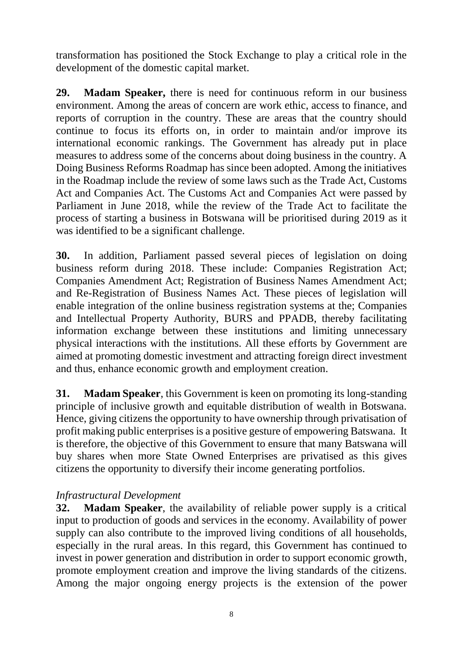transformation has positioned the Stock Exchange to play a critical role in the development of the domestic capital market.

**29. Madam Speaker,** there is need for continuous reform in our business environment. Among the areas of concern are work ethic, access to finance, and reports of corruption in the country. These are areas that the country should continue to focus its efforts on, in order to maintain and/or improve its international economic rankings. The Government has already put in place measures to address some of the concerns about doing business in the country. A Doing Business Reforms Roadmap has since been adopted. Among the initiatives in the Roadmap include the review of some laws such as the Trade Act, Customs Act and Companies Act. The Customs Act and Companies Act were passed by Parliament in June 2018, while the review of the Trade Act to facilitate the process of starting a business in Botswana will be prioritised during 2019 as it was identified to be a significant challenge.

**30.** In addition, Parliament passed several pieces of legislation on doing business reform during 2018. These include: Companies Registration Act; Companies Amendment Act; Registration of Business Names Amendment Act; and Re-Registration of Business Names Act. These pieces of legislation will enable integration of the online business registration systems at the; Companies and Intellectual Property Authority, BURS and PPADB, thereby facilitating information exchange between these institutions and limiting unnecessary physical interactions with the institutions. All these efforts by Government are aimed at promoting domestic investment and attracting foreign direct investment and thus, enhance economic growth and employment creation.

**31. Madam Speaker**, this Government is keen on promoting its long-standing principle of inclusive growth and equitable distribution of wealth in Botswana. Hence, giving citizens the opportunity to have ownership through privatisation of profit making public enterprises is a positive gesture of empowering Batswana. It is therefore, the objective of this Government to ensure that many Batswana will buy shares when more State Owned Enterprises are privatised as this gives citizens the opportunity to diversify their income generating portfolios.

## <span id="page-9-0"></span>*Infrastructural Development*

**32. Madam Speaker**, the availability of reliable power supply is a critical input to production of goods and services in the economy. Availability of power supply can also contribute to the improved living conditions of all households, especially in the rural areas. In this regard, this Government has continued to invest in power generation and distribution in order to support economic growth, promote employment creation and improve the living standards of the citizens. Among the major ongoing energy projects is the extension of the power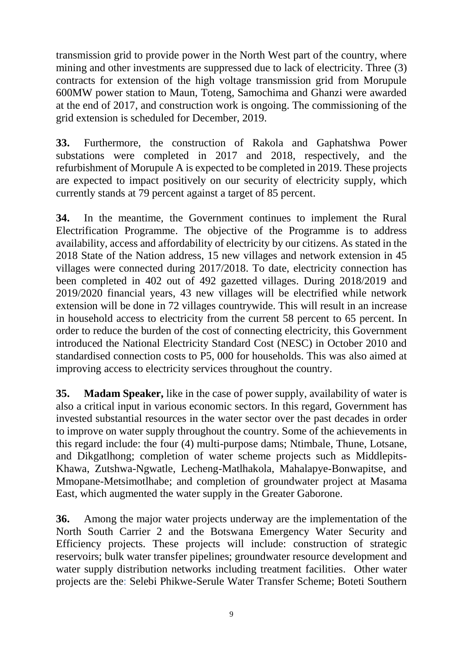transmission grid to provide power in the North West part of the country, where mining and other investments are suppressed due to lack of electricity. Three (3) contracts for extension of the high voltage transmission grid from Morupule 600MW power station to Maun, Toteng, Samochima and Ghanzi were awarded at the end of 2017, and construction work is ongoing. The commissioning of the grid extension is scheduled for December, 2019.

**33.** Furthermore, the construction of Rakola and Gaphatshwa Power substations were completed in 2017 and 2018, respectively, and the refurbishment of Morupule A is expected to be completed in 2019. These projects are expected to impact positively on our security of electricity supply, which currently stands at 79 percent against a target of 85 percent.

**34.** In the meantime, the Government continues to implement the Rural Electrification Programme. The objective of the Programme is to address availability, access and affordability of electricity by our citizens. As stated in the 2018 State of the Nation address, 15 new villages and network extension in 45 villages were connected during 2017/2018. To date, electricity connection has been completed in 402 out of 492 gazetted villages. During 2018/2019 and 2019/2020 financial years, 43 new villages will be electrified while network extension will be done in 72 villages countrywide. This will result in an increase in household access to electricity from the current 58 percent to 65 percent. In order to reduce the burden of the cost of connecting electricity, this Government introduced the National Electricity Standard Cost (NESC) in October 2010 and standardised connection costs to P5, 000 for households. This was also aimed at improving access to electricity services throughout the country.

**35. Madam Speaker,** like in the case of power supply, availability of water is also a critical input in various economic sectors. In this regard, Government has invested substantial resources in the water sector over the past decades in order to improve on water supply throughout the country. Some of the achievements in this regard include: the four (4) multi-purpose dams; Ntimbale, Thune, Lotsane, and Dikgatlhong; completion of water scheme projects such as Middlepits-Khawa, Zutshwa-Ngwatle, Lecheng-Matlhakola, Mahalapye-Bonwapitse, and Mmopane-Metsimotlhabe; and completion of groundwater project at Masama East, which augmented the water supply in the Greater Gaborone.

**36.** Among the major water projects underway are the implementation of the North South Carrier 2 and the Botswana Emergency Water Security and Efficiency projects. These projects will include: construction of strategic reservoirs; bulk water transfer pipelines; groundwater resource development and water supply distribution networks including treatment facilities. Other water projects are the: Selebi Phikwe-Serule Water Transfer Scheme; Boteti Southern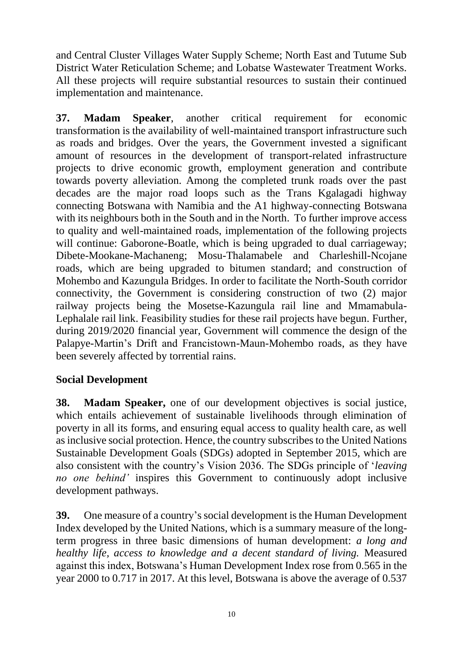and Central Cluster Villages Water Supply Scheme; North East and Tutume Sub District Water Reticulation Scheme; and Lobatse Wastewater Treatment Works. All these projects will require substantial resources to sustain their continued implementation and maintenance.

**37. Madam Speaker**, another critical requirement for economic transformation is the availability of well-maintained transport infrastructure such as roads and bridges. Over the years, the Government invested a significant amount of resources in the development of transport-related infrastructure projects to drive economic growth, employment generation and contribute towards poverty alleviation. Among the completed trunk roads over the past decades are the major road loops such as the Trans Kgalagadi highway connecting Botswana with Namibia and the A1 highway-connecting Botswana with its neighbours both in the South and in the North. To further improve access to quality and well-maintained roads, implementation of the following projects will continue: Gaborone-Boatle, which is being upgraded to dual carriageway; Dibete-Mookane-Machaneng; Mosu-Thalamabele and Charleshill-Ncojane roads, which are being upgraded to bitumen standard; and construction of Mohembo and Kazungula Bridges. In order to facilitate the North-South corridor connectivity, the Government is considering construction of two (2) major railway projects being the Mosetse-Kazungula rail line and Mmamabula-Lephalale rail link. Feasibility studies for these rail projects have begun. Further, during 2019/2020 financial year, Government will commence the design of the Palapye-Martin's Drift and Francistown-Maun-Mohembo roads, as they have been severely affected by torrential rains.

## <span id="page-11-0"></span>**Social Development**

**38. Madam Speaker,** one of our development objectives is social justice, which entails achievement of sustainable livelihoods through elimination of poverty in all its forms, and ensuring equal access to quality health care, as well as inclusive social protection. Hence, the country subscribes to the United Nations Sustainable Development Goals (SDGs) adopted in September 2015, which are also consistent with the country's Vision 2036. The SDGs principle of '*leaving no one behind'* inspires this Government to continuously adopt inclusive development pathways.

**39.** One measure of a country's social development is the Human Development Index developed by the United Nations, which is a summary measure of the longterm progress in three basic dimensions of human development: *a long and healthy life, access to knowledge and a decent standard of living.* Measured against this index, Botswana's Human Development Index rose from 0.565 in the year 2000 to 0.717 in 2017. At this level, Botswana is above the average of 0.537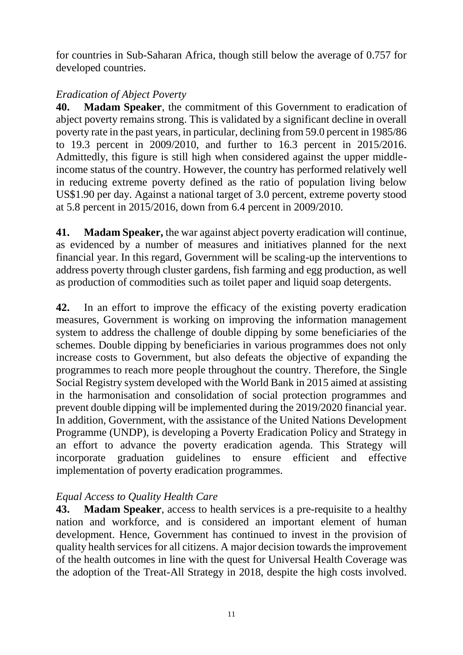for countries in Sub-Saharan Africa, though still below the average of 0.757 for developed countries.

## <span id="page-12-0"></span>*Eradication of Abject Poverty*

**40. Madam Speaker**, the commitment of this Government to eradication of abject poverty remains strong. This is validated by a significant decline in overall poverty rate in the past years, in particular, declining from 59.0 percent in 1985/86 to 19.3 percent in 2009/2010, and further to 16.3 percent in 2015/2016. Admittedly, this figure is still high when considered against the upper middleincome status of the country. However, the country has performed relatively well in reducing extreme poverty defined as the ratio of population living below US\$1.90 per day. Against a national target of 3.0 percent, extreme poverty stood at 5.8 percent in 2015/2016, down from 6.4 percent in 2009/2010.

**41. Madam Speaker,** the war against abject poverty eradication will continue, as evidenced by a number of measures and initiatives planned for the next financial year. In this regard, Government will be scaling-up the interventions to address poverty through cluster gardens, fish farming and egg production, as well as production of commodities such as toilet paper and liquid soap detergents.

**42.** In an effort to improve the efficacy of the existing poverty eradication measures, Government is working on improving the information management system to address the challenge of double dipping by some beneficiaries of the schemes. Double dipping by beneficiaries in various programmes does not only increase costs to Government, but also defeats the objective of expanding the programmes to reach more people throughout the country. Therefore, the Single Social Registry system developed with the World Bank in 2015 aimed at assisting in the harmonisation and consolidation of social protection programmes and prevent double dipping will be implemented during the 2019/2020 financial year. In addition, Government, with the assistance of the United Nations Development Programme (UNDP), is developing a Poverty Eradication Policy and Strategy in an effort to advance the poverty eradication agenda. This Strategy will incorporate graduation guidelines to ensure efficient and effective implementation of poverty eradication programmes.

## <span id="page-12-1"></span>*Equal Access to Quality Health Care*

**43. Madam Speaker**, access to health services is a pre-requisite to a healthy nation and workforce, and is considered an important element of human development. Hence, Government has continued to invest in the provision of quality health services for all citizens. A major decision towards the improvement of the health outcomes in line with the quest for Universal Health Coverage was the adoption of the Treat-All Strategy in 2018, despite the high costs involved.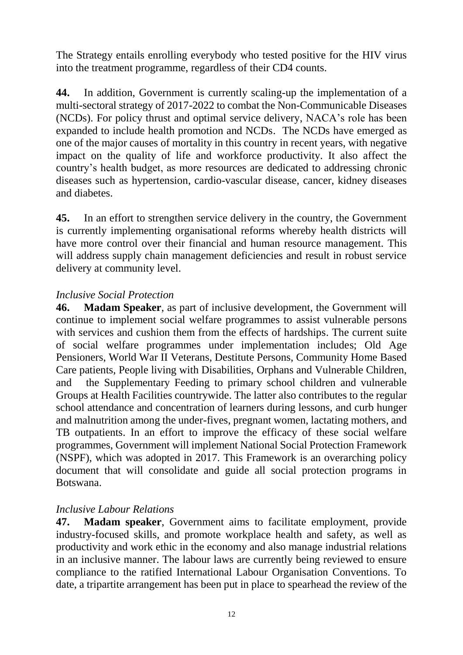The Strategy entails enrolling everybody who tested positive for the HIV virus into the treatment programme, regardless of their CD4 counts.

**44.** In addition, Government is currently scaling-up the implementation of a multi-sectoral strategy of 2017-2022 to combat the Non-Communicable Diseases (NCDs). For policy thrust and optimal service delivery, NACA's role has been expanded to include health promotion and NCDs. The NCDs have emerged as one of the major causes of mortality in this country in recent years, with negative impact on the quality of life and workforce productivity. It also affect the country's health budget, as more resources are dedicated to addressing chronic diseases such as hypertension, cardio-vascular disease, cancer, kidney diseases and diabetes.

**45.** In an effort to strengthen service delivery in the country, the Government is currently implementing organisational reforms whereby health districts will have more control over their financial and human resource management. This will address supply chain management deficiencies and result in robust service delivery at community level.

#### <span id="page-13-0"></span>*Inclusive Social Protection*

**46. Madam Speaker**, as part of inclusive development, the Government will continue to implement social welfare programmes to assist vulnerable persons with services and cushion them from the effects of hardships. The current suite of social welfare programmes under implementation includes; Old Age Pensioners, World War II Veterans, Destitute Persons, Community Home Based Care patients, People living with Disabilities, Orphans and Vulnerable Children, and the Supplementary Feeding to primary school children and vulnerable Groups at Health Facilities countrywide. The latter also contributes to the regular school attendance and concentration of learners during lessons, and curb hunger and malnutrition among the under-fives, pregnant women, lactating mothers, and TB outpatients. In an effort to improve the efficacy of these social welfare programmes, Government will implement National Social Protection Framework (NSPF), which was adopted in 2017. This Framework is an overarching policy document that will consolidate and guide all social protection programs in Botswana.

#### <span id="page-13-1"></span>*Inclusive Labour Relations*

**47. Madam speaker**, Government aims to facilitate employment, provide industry-focused skills, and promote workplace health and safety, as well as productivity and work ethic in the economy and also manage industrial relations in an inclusive manner. The labour laws are currently being reviewed to ensure compliance to the ratified International Labour Organisation Conventions. To date, a tripartite arrangement has been put in place to spearhead the review of the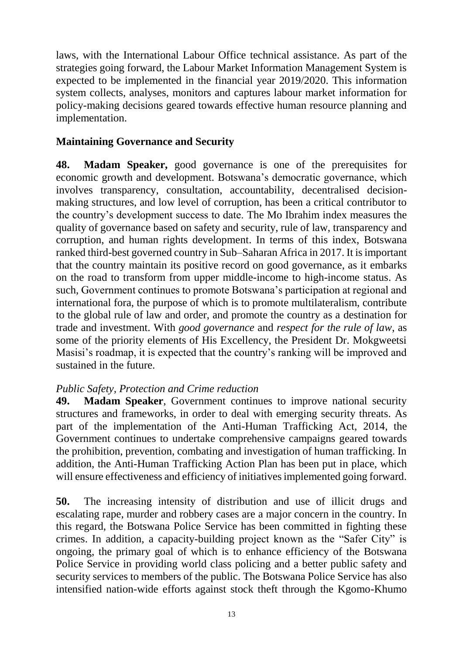laws, with the International Labour Office technical assistance. As part of the strategies going forward, the Labour Market Information Management System is expected to be implemented in the financial year 2019/2020. This information system collects, analyses, monitors and captures labour market information for policy-making decisions geared towards effective human resource planning and implementation.

### <span id="page-14-0"></span>**Maintaining Governance and Security**

**48. Madam Speaker,** good governance is one of the prerequisites for economic growth and development. Botswana's democratic governance, which involves transparency, consultation, accountability, decentralised decisionmaking structures, and low level of corruption, has been a critical contributor to the country's development success to date. The Mo Ibrahim index measures the quality of governance based on safety and security, rule of law, transparency and corruption, and human rights development. In terms of this index, Botswana ranked third-best governed country in Sub–Saharan Africa in 2017. It is important that the country maintain its positive record on good governance, as it embarks on the road to transform from upper middle-income to high-income status. As such, Government continues to promote Botswana's participation at regional and international fora, the purpose of which is to promote multilateralism, contribute to the global rule of law and order, and promote the country as a destination for trade and investment. With *good governance* and *respect for the rule of law*, as some of the priority elements of His Excellency, the President Dr. Mokgweetsi Masisi's roadmap, it is expected that the country's ranking will be improved and sustained in the future.

#### <span id="page-14-1"></span>*Public Safety, Protection and Crime reduction*

**49. Madam Speaker**, Government continues to improve national security structures and frameworks, in order to deal with emerging security threats. As part of the implementation of the Anti-Human Trafficking Act, 2014, the Government continues to undertake comprehensive campaigns geared towards the prohibition, prevention, combating and investigation of human trafficking. In addition, the Anti-Human Trafficking Action Plan has been put in place, which will ensure effectiveness and efficiency of initiatives implemented going forward.

**50.** The increasing intensity of distribution and use of illicit drugs and escalating rape, murder and robbery cases are a major concern in the country. In this regard, the Botswana Police Service has been committed in fighting these crimes. In addition, a capacity-building project known as the "Safer City" is ongoing, the primary goal of which is to enhance efficiency of the Botswana Police Service in providing world class policing and a better public safety and security services to members of the public. The Botswana Police Service has also intensified nation-wide efforts against stock theft through the Kgomo-Khumo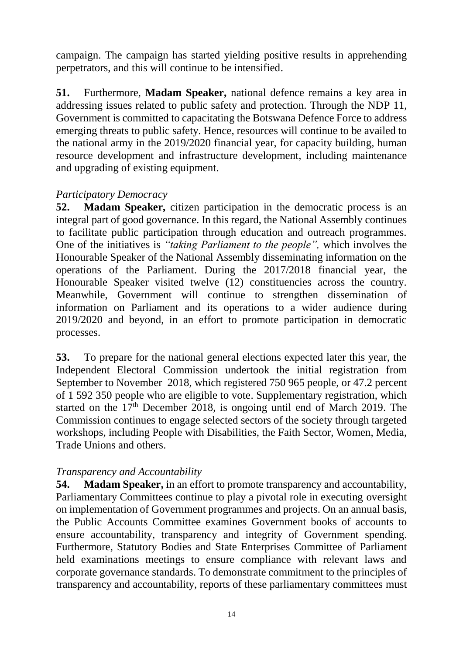campaign. The campaign has started yielding positive results in apprehending perpetrators, and this will continue to be intensified.

**51.** Furthermore, **Madam Speaker,** national defence remains a key area in addressing issues related to public safety and protection. Through the NDP 11, Government is committed to capacitating the Botswana Defence Force to address emerging threats to public safety. Hence, resources will continue to be availed to the national army in the 2019/2020 financial year, for capacity building, human resource development and infrastructure development, including maintenance and upgrading of existing equipment.

#### <span id="page-15-0"></span>*Participatory Democracy*

**52. Madam Speaker,** citizen participation in the democratic process is an integral part of good governance. In this regard, the National Assembly continues to facilitate public participation through education and outreach programmes. One of the initiatives is *"taking Parliament to the people",* which involves the Honourable Speaker of the National Assembly disseminating information on the operations of the Parliament. During the 2017/2018 financial year, the Honourable Speaker visited twelve (12) constituencies across the country. Meanwhile, Government will continue to strengthen dissemination of information on Parliament and its operations to a wider audience during 2019/2020 and beyond, in an effort to promote participation in democratic processes.

**53.** To prepare for the national general elections expected later this year, the Independent Electoral Commission undertook the initial registration from September to November 2018, which registered 750 965 people, or 47.2 percent of 1 592 350 people who are eligible to vote. Supplementary registration, which started on the  $17<sup>th</sup>$  December 2018, is ongoing until end of March 2019. The Commission continues to engage selected sectors of the society through targeted workshops, including People with Disabilities, the Faith Sector, Women, Media, Trade Unions and others.

## <span id="page-15-1"></span>*Transparency and Accountability*

**54. Madam Speaker,** in an effort to promote transparency and accountability, Parliamentary Committees continue to play a pivotal role in executing oversight on implementation of Government programmes and projects. On an annual basis, the Public Accounts Committee examines Government books of accounts to ensure accountability, transparency and integrity of Government spending. Furthermore, Statutory Bodies and State Enterprises Committee of Parliament held examinations meetings to ensure compliance with relevant laws and corporate governance standards. To demonstrate commitment to the principles of transparency and accountability, reports of these parliamentary committees must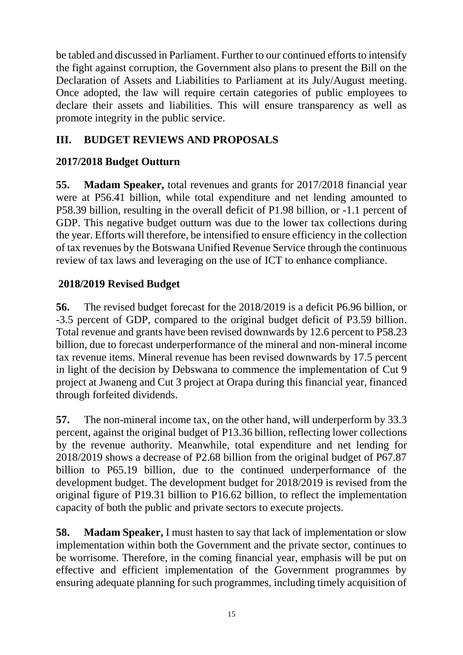be tabled and discussed in Parliament. Further to our continued efforts to intensify the fight against corruption, the Government also plans to present the Bill on the Declaration of Assets and Liabilities to Parliament at its July/August meeting. Once adopted, the law will require certain categories of public employees to declare their assets and liabilities. This will ensure transparency as well as promote integrity in the public service.

# <span id="page-16-0"></span>**III. BUDGET REVIEWS AND PROPOSALS**

# <span id="page-16-1"></span>**2017/2018 Budget Outturn**

**55. Madam Speaker,** total revenues and grants for 2017/2018 financial year were at P56.41 billion, while total expenditure and net lending amounted to P58.39 billion, resulting in the overall deficit of P1.98 billion, or -1.1 percent of GDP. This negative budget outturn was due to the lower tax collections during the year. Efforts will therefore, be intensified to ensure efficiency in the collection of tax revenues by the Botswana Unified Revenue Service through the continuous review of tax laws and leveraging on the use of ICT to enhance compliance.

# <span id="page-16-2"></span>**2018/2019 Revised Budget**

**56.** The revised budget forecast for the 2018/2019 is a deficit P6.96 billion, or -3.5 percent of GDP, compared to the original budget deficit of P3.59 billion. Total revenue and grants have been revised downwards by 12.6 percent to P58.23 billion, due to forecast underperformance of the mineral and non-mineral income tax revenue items. Mineral revenue has been revised downwards by 17.5 percent in light of the decision by Debswana to commence the implementation of Cut 9 project at Jwaneng and Cut 3 project at Orapa during this financial year, financed through forfeited dividends.

**57.** The non-mineral income tax, on the other hand, will underperform by 33.3 percent, against the original budget of P13.36 billion, reflecting lower collections by the revenue authority. Meanwhile, total expenditure and net lending for 2018/2019 shows a decrease of P2.68 billion from the original budget of P67.87 billion to P65.19 billion, due to the continued underperformance of the development budget. The development budget for 2018/2019 is revised from the original figure of P19.31 billion to P16.62 billion, to reflect the implementation capacity of both the public and private sectors to execute projects.

**58. Madam Speaker,** I must hasten to say that lack of implementation or slow implementation within both the Government and the private sector, continues to be worrisome. Therefore, in the coming financial year, emphasis will be put on effective and efficient implementation of the Government programmes by ensuring adequate planning for such programmes, including timely acquisition of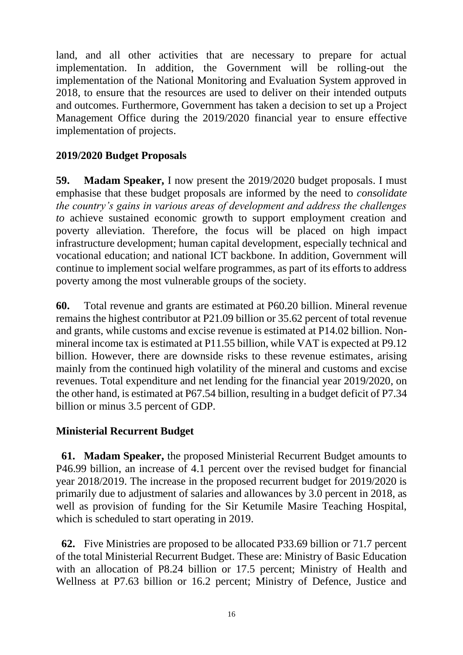land, and all other activities that are necessary to prepare for actual implementation. In addition, the Government will be rolling-out the implementation of the National Monitoring and Evaluation System approved in 2018, to ensure that the resources are used to deliver on their intended outputs and outcomes. Furthermore, Government has taken a decision to set up a Project Management Office during the 2019/2020 financial year to ensure effective implementation of projects.

## <span id="page-17-0"></span>**2019/2020 Budget Proposals**

**59. Madam Speaker,** I now present the 2019/2020 budget proposals. I must emphasise that these budget proposals are informed by the need to *consolidate the country's gains in various areas of development and address the challenges to* achieve sustained economic growth to support employment creation and poverty alleviation. Therefore, the focus will be placed on high impact infrastructure development; human capital development, especially technical and vocational education; and national ICT backbone. In addition, Government will continue to implement social welfare programmes, as part of its efforts to address poverty among the most vulnerable groups of the society.

**60.** Total revenue and grants are estimated at P60.20 billion. Mineral revenue remains the highest contributor at P21.09 billion or 35.62 percent of total revenue and grants, while customs and excise revenue is estimated at P14.02 billion. Nonmineral income tax is estimated at P11.55 billion, while VAT is expected at P9.12 billion. However, there are downside risks to these revenue estimates, arising mainly from the continued high volatility of the mineral and customs and excise revenues. Total expenditure and net lending for the financial year 2019/2020, on the other hand, is estimated at P67.54 billion, resulting in a budget deficit of P7.34 billion or minus 3.5 percent of GDP.

## <span id="page-17-1"></span>**Ministerial Recurrent Budget**

**61. Madam Speaker,** the proposed Ministerial Recurrent Budget amounts to P46.99 billion, an increase of 4.1 percent over the revised budget for financial year 2018/2019. The increase in the proposed recurrent budget for 2019/2020 is primarily due to adjustment of salaries and allowances by 3.0 percent in 2018, as well as provision of funding for the Sir Ketumile Masire Teaching Hospital, which is scheduled to start operating in 2019.

**62.** Five Ministries are proposed to be allocated P33.69 billion or 71.7 percent of the total Ministerial Recurrent Budget. These are: Ministry of Basic Education with an allocation of P8.24 billion or 17.5 percent; Ministry of Health and Wellness at P7.63 billion or 16.2 percent; Ministry of Defence, Justice and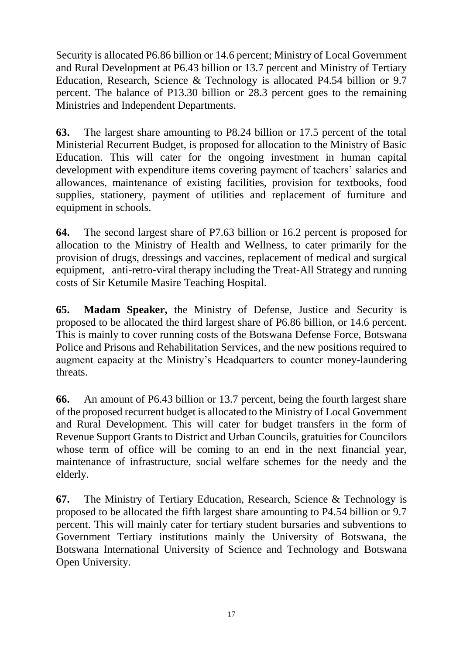Security is allocated P6.86 billion or 14.6 percent; Ministry of Local Government and Rural Development at P6.43 billion or 13.7 percent and Ministry of Tertiary Education, Research, Science & Technology is allocated P4.54 billion or 9.7 percent. The balance of P13.30 billion or 28.3 percent goes to the remaining Ministries and Independent Departments.

**63.** The largest share amounting to P8.24 billion or 17.5 percent of the total Ministerial Recurrent Budget, is proposed for allocation to the Ministry of Basic Education. This will cater for the ongoing investment in human capital development with expenditure items covering payment of teachers' salaries and allowances, maintenance of existing facilities, provision for textbooks, food supplies, stationery, payment of utilities and replacement of furniture and equipment in schools.

**64.** The second largest share of P7.63 billion or 16.2 percent is proposed for allocation to the Ministry of Health and Wellness, to cater primarily for the provision of drugs, dressings and vaccines, replacement of medical and surgical equipment, anti-retro-viral therapy including the Treat-All Strategy and running costs of Sir Ketumile Masire Teaching Hospital.

**65. Madam Speaker,** the Ministry of Defense, Justice and Security is proposed to be allocated the third largest share of P6.86 billion, or 14.6 percent. This is mainly to cover running costs of the Botswana Defense Force, Botswana Police and Prisons and Rehabilitation Services, and the new positions required to augment capacity at the Ministry's Headquarters to counter money-laundering threats.

**66.** An amount of P6.43 billion or 13.7 percent, being the fourth largest share of the proposed recurrent budget is allocated to the Ministry of Local Government and Rural Development. This will cater for budget transfers in the form of Revenue Support Grants to District and Urban Councils, gratuities for Councilors whose term of office will be coming to an end in the next financial year, maintenance of infrastructure, social welfare schemes for the needy and the elderly.

**67.** The Ministry of Tertiary Education, Research, Science & Technology is proposed to be allocated the fifth largest share amounting to P4.54 billion or 9.7 percent. This will mainly cater for tertiary student bursaries and subventions to Government Tertiary institutions mainly the University of Botswana, the Botswana International University of Science and Technology and Botswana Open University.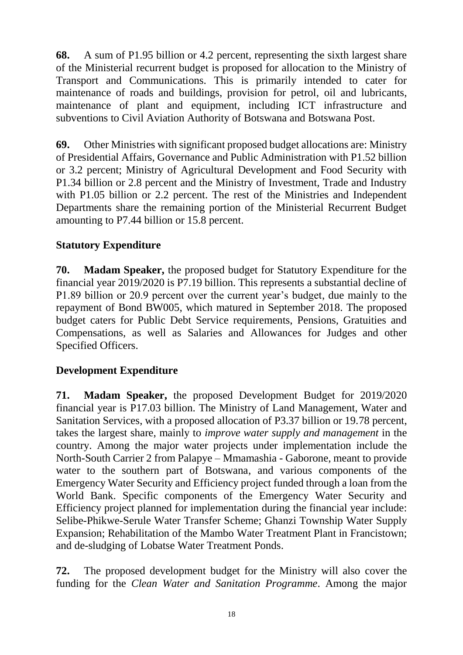**68.** A sum of P1.95 billion or 4.2 percent, representing the sixth largest share of the Ministerial recurrent budget is proposed for allocation to the Ministry of Transport and Communications. This is primarily intended to cater for maintenance of roads and buildings, provision for petrol, oil and lubricants, maintenance of plant and equipment, including ICT infrastructure and subventions to Civil Aviation Authority of Botswana and Botswana Post.

**69.** Other Ministries with significant proposed budget allocations are: Ministry of Presidential Affairs, Governance and Public Administration with P1.52 billion or 3.2 percent; Ministry of Agricultural Development and Food Security with P1.34 billion or 2.8 percent and the Ministry of Investment, Trade and Industry with P1.05 billion or 2.2 percent. The rest of the Ministries and Independent Departments share the remaining portion of the Ministerial Recurrent Budget amounting to P7.44 billion or 15.8 percent.

## <span id="page-19-0"></span>**Statutory Expenditure**

**70. Madam Speaker,** the proposed budget for Statutory Expenditure for the financial year 2019/2020 is P7.19 billion. This represents a substantial decline of P1.89 billion or 20.9 percent over the current year's budget, due mainly to the repayment of Bond BW005, which matured in September 2018. The proposed budget caters for Public Debt Service requirements, Pensions, Gratuities and Compensations, as well as Salaries and Allowances for Judges and other Specified Officers.

## <span id="page-19-1"></span>**Development Expenditure**

**71. Madam Speaker,** the proposed Development Budget for 2019/2020 financial year is P17.03 billion. The Ministry of Land Management, Water and Sanitation Services, with a proposed allocation of P3.37 billion or 19.78 percent, takes the largest share, mainly to *improve water supply and management* in the country. Among the major water projects under implementation include the North-South Carrier 2 from Palapye – Mmamashia - Gaborone, meant to provide water to the southern part of Botswana, and various components of the Emergency Water Security and Efficiency project funded through a loan from the World Bank. Specific components of the Emergency Water Security and Efficiency project planned for implementation during the financial year include: Selibe-Phikwe-Serule Water Transfer Scheme; Ghanzi Township Water Supply Expansion; Rehabilitation of the Mambo Water Treatment Plant in Francistown; and de-sludging of Lobatse Water Treatment Ponds.

**72.** The proposed development budget for the Ministry will also cover the funding for the *Clean Water and Sanitation Programme*. Among the major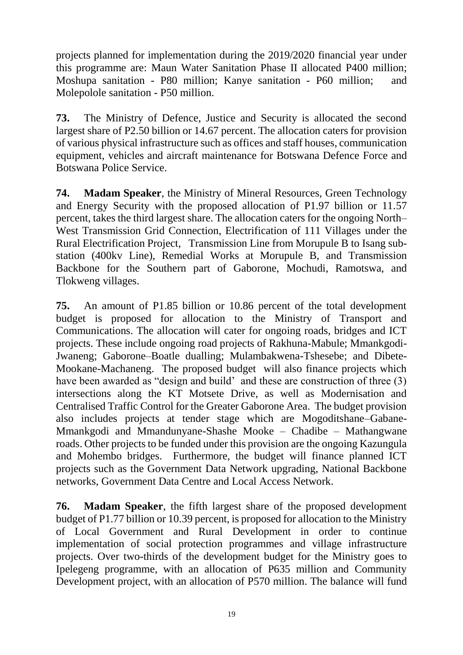projects planned for implementation during the 2019/2020 financial year under this programme are: Maun Water Sanitation Phase II allocated P400 million; Moshupa sanitation - P80 million; Kanye sanitation - P60 million; and Molepolole sanitation - P50 million.

**73.** The Ministry of Defence, Justice and Security is allocated the second largest share of P2.50 billion or 14.67 percent. The allocation caters for provision of various physical infrastructure such as offices and staff houses, communication equipment, vehicles and aircraft maintenance for Botswana Defence Force and Botswana Police Service.

**74. Madam Speaker**, the Ministry of Mineral Resources, Green Technology and Energy Security with the proposed allocation of P1.97 billion or 11.57 percent, takes the third largest share. The allocation caters for the ongoing North– West Transmission Grid Connection, Electrification of 111 Villages under the Rural Electrification Project, Transmission Line from Morupule B to Isang substation (400kv Line), Remedial Works at Morupule B, and Transmission Backbone for the Southern part of Gaborone, Mochudi, Ramotswa, and Tlokweng villages.

**75.** An amount of P1.85 billion or 10.86 percent of the total development budget is proposed for allocation to the Ministry of Transport and Communications. The allocation will cater for ongoing roads, bridges and ICT projects. These include ongoing road projects of Rakhuna-Mabule; Mmankgodi-Jwaneng; Gaborone–Boatle dualling; Mulambakwena-Tshesebe; and Dibete-Mookane-Machaneng. The proposed budget will also finance projects which have been awarded as "design and build" and these are construction of three (3) intersections along the KT Motsete Drive, as well as Modernisation and Centralised Traffic Control for the Greater Gaborone Area. The budget provision also includes projects at tender stage which are Mogoditshane–Gabane-Mmankgodi and Mmandunyane-Shashe Mooke – Chadibe – Mathangwane roads. Other projects to be funded under this provision are the ongoing Kazungula and Mohembo bridges. Furthermore, the budget will finance planned ICT projects such as the Government Data Network upgrading, National Backbone networks, Government Data Centre and Local Access Network.

**76. Madam Speaker**, the fifth largest share of the proposed development budget of P1.77 billion or 10.39 percent, is proposed for allocation to the Ministry of Local Government and Rural Development in order to continue implementation of social protection programmes and village infrastructure projects. Over two-thirds of the development budget for the Ministry goes to Ipelegeng programme, with an allocation of P635 million and Community Development project, with an allocation of P570 million. The balance will fund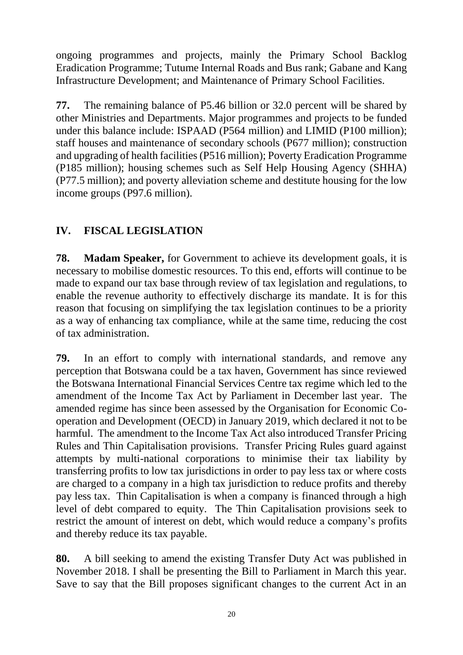ongoing programmes and projects, mainly the Primary School Backlog Eradication Programme; Tutume Internal Roads and Bus rank; Gabane and Kang Infrastructure Development; and Maintenance of Primary School Facilities.

**77.** The remaining balance of P5.46 billion or 32.0 percent will be shared by other Ministries and Departments. Major programmes and projects to be funded under this balance include: ISPAAD (P564 million) and LIMID (P100 million); staff houses and maintenance of secondary schools (P677 million); construction and upgrading of health facilities (P516 million); Poverty Eradication Programme (P185 million); housing schemes such as Self Help Housing Agency (SHHA) (P77.5 million); and poverty alleviation scheme and destitute housing for the low income groups (P97.6 million).

# <span id="page-21-0"></span>**IV. FISCAL LEGISLATION**

**78. Madam Speaker,** for Government to achieve its development goals, it is necessary to mobilise domestic resources. To this end, efforts will continue to be made to expand our tax base through review of tax legislation and regulations, to enable the revenue authority to effectively discharge its mandate. It is for this reason that focusing on simplifying the tax legislation continues to be a priority as a way of enhancing tax compliance, while at the same time, reducing the cost of tax administration.

**79.** In an effort to comply with international standards, and remove any perception that Botswana could be a tax haven, Government has since reviewed the Botswana International Financial Services Centre tax regime which led to the amendment of the Income Tax Act by Parliament in December last year. The amended regime has since been assessed by the Organisation for Economic Cooperation and Development (OECD) in January 2019, which declared it not to be harmful. The amendment to the Income Tax Act also introduced Transfer Pricing Rules and Thin Capitalisation provisions. Transfer Pricing Rules guard against attempts by multi-national corporations to minimise their tax liability by transferring profits to low tax jurisdictions in order to pay less tax or where costs are charged to a company in a high tax jurisdiction to reduce profits and thereby pay less tax. Thin Capitalisation is when a company is financed through a high level of debt compared to equity. The Thin Capitalisation provisions seek to restrict the amount of interest on debt, which would reduce a company's profits and thereby reduce its tax payable.

**80.** A bill seeking to amend the existing Transfer Duty Act was published in November 2018. I shall be presenting the Bill to Parliament in March this year. Save to say that the Bill proposes significant changes to the current Act in an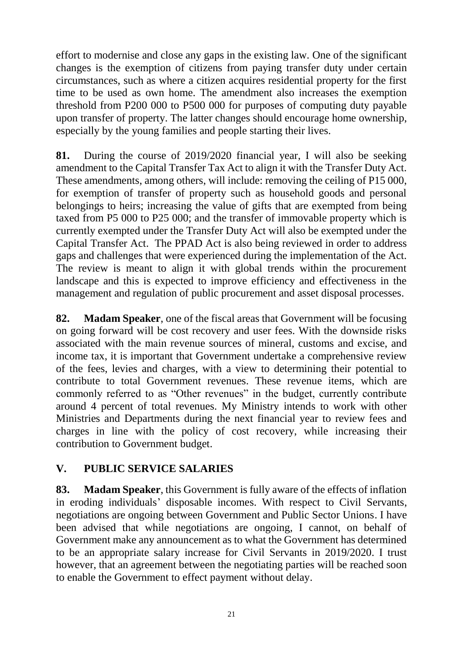effort to modernise and close any gaps in the existing law. One of the significant changes is the exemption of citizens from paying transfer duty under certain circumstances, such as where a citizen acquires residential property for the first time to be used as own home. The amendment also increases the exemption threshold from P200 000 to P500 000 for purposes of computing duty payable upon transfer of property. The latter changes should encourage home ownership, especially by the young families and people starting their lives.

**81.** During the course of 2019/2020 financial year, I will also be seeking amendment to the Capital Transfer Tax Act to align it with the Transfer Duty Act. These amendments, among others, will include: removing the ceiling of P15 000, for exemption of transfer of property such as household goods and personal belongings to heirs; increasing the value of gifts that are exempted from being taxed from P5 000 to P25 000; and the transfer of immovable property which is currently exempted under the Transfer Duty Act will also be exempted under the Capital Transfer Act. The PPAD Act is also being reviewed in order to address gaps and challenges that were experienced during the implementation of the Act. The review is meant to align it with global trends within the procurement landscape and this is expected to improve efficiency and effectiveness in the management and regulation of public procurement and asset disposal processes.

**82. Madam Speaker**, one of the fiscal areas that Government will be focusing on going forward will be cost recovery and user fees. With the downside risks associated with the main revenue sources of mineral, customs and excise, and income tax, it is important that Government undertake a comprehensive review of the fees, levies and charges, with a view to determining their potential to contribute to total Government revenues. These revenue items, which are commonly referred to as "Other revenues" in the budget, currently contribute around 4 percent of total revenues. My Ministry intends to work with other Ministries and Departments during the next financial year to review fees and charges in line with the policy of cost recovery, while increasing their contribution to Government budget.

## <span id="page-22-0"></span>**V. PUBLIC SERVICE SALARIES**

**83. Madam Speaker**, this Government is fully aware of the effects of inflation in eroding individuals' disposable incomes. With respect to Civil Servants, negotiations are ongoing between Government and Public Sector Unions. I have been advised that while negotiations are ongoing, I cannot, on behalf of Government make any announcement as to what the Government has determined to be an appropriate salary increase for Civil Servants in 2019/2020. I trust however, that an agreement between the negotiating parties will be reached soon to enable the Government to effect payment without delay.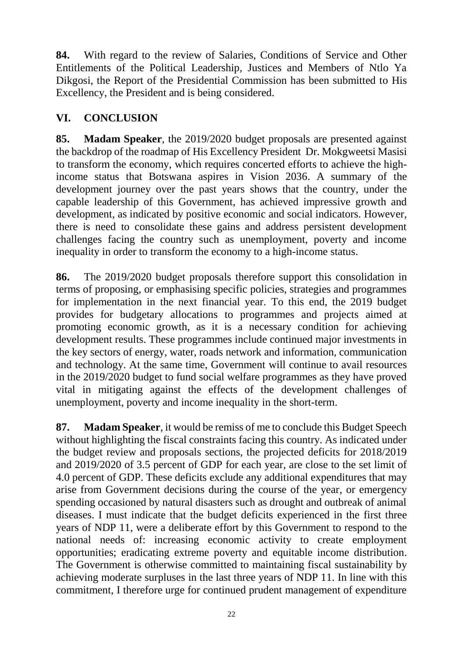**84.** With regard to the review of Salaries, Conditions of Service and Other Entitlements of the Political Leadership, Justices and Members of Ntlo Ya Dikgosi, the Report of the Presidential Commission has been submitted to His Excellency, the President and is being considered.

# <span id="page-23-0"></span>**VI. CONCLUSION**

**85. Madam Speaker**, the 2019/2020 budget proposals are presented against the backdrop of the roadmap of His Excellency President Dr. Mokgweetsi Masisi to transform the economy, which requires concerted efforts to achieve the highincome status that Botswana aspires in Vision 2036. A summary of the development journey over the past years shows that the country, under the capable leadership of this Government, has achieved impressive growth and development, as indicated by positive economic and social indicators. However, there is need to consolidate these gains and address persistent development challenges facing the country such as unemployment, poverty and income inequality in order to transform the economy to a high-income status.

**86.** The 2019/2020 budget proposals therefore support this consolidation in terms of proposing, or emphasising specific policies, strategies and programmes for implementation in the next financial year. To this end, the 2019 budget provides for budgetary allocations to programmes and projects aimed at promoting economic growth, as it is a necessary condition for achieving development results. These programmes include continued major investments in the key sectors of energy, water, roads network and information, communication and technology. At the same time, Government will continue to avail resources in the 2019/2020 budget to fund social welfare programmes as they have proved vital in mitigating against the effects of the development challenges of unemployment, poverty and income inequality in the short-term.

**87. Madam Speaker**, it would be remiss of me to conclude this Budget Speech without highlighting the fiscal constraints facing this country. As indicated under the budget review and proposals sections, the projected deficits for 2018/2019 and 2019/2020 of 3.5 percent of GDP for each year, are close to the set limit of 4.0 percent of GDP. These deficits exclude any additional expenditures that may arise from Government decisions during the course of the year, or emergency spending occasioned by natural disasters such as drought and outbreak of animal diseases. I must indicate that the budget deficits experienced in the first three years of NDP 11, were a deliberate effort by this Government to respond to the national needs of: increasing economic activity to create employment opportunities; eradicating extreme poverty and equitable income distribution. The Government is otherwise committed to maintaining fiscal sustainability by achieving moderate surpluses in the last three years of NDP 11. In line with this commitment, I therefore urge for continued prudent management of expenditure